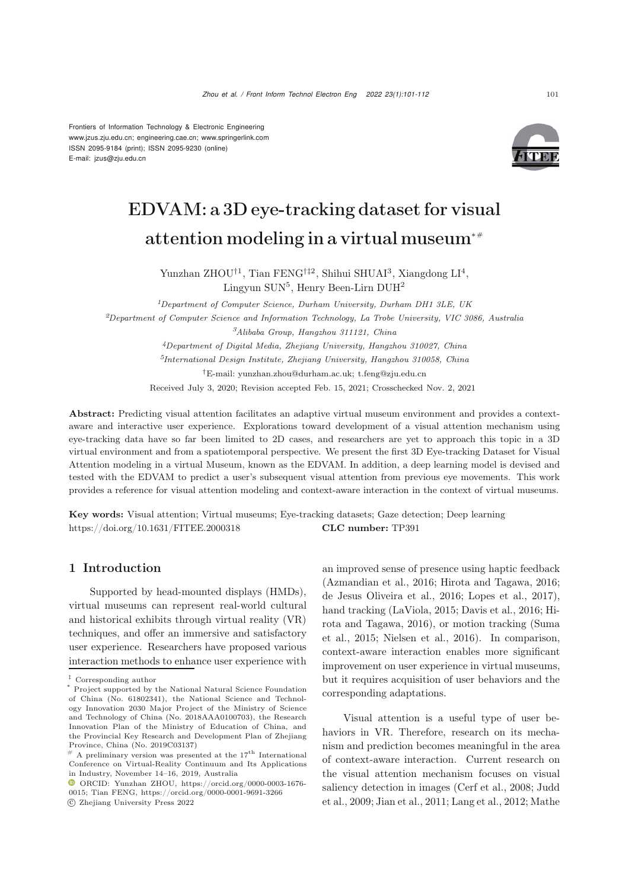Frontiers of Information Technology & Electronic Engineering [www.jzus.zju.edu.cn;](www.jzus.zju.edu.cn) [engineering.cae.cn;](engineering.cae.cn)<www.springerlink.com> ISSN 2095-9184 (print); ISSN 2095-9230 (online) E-mail: jzus@zju.edu.cn



# EDVAM: a 3D eye-tracking dataset for visual attention modeling in a virtual museum∗#

Yunzhan ZHOU<sup>†1</sup>, Tian FENG<sup>†‡2</sup>, Shihui SHUAI<sup>3</sup>, Xiangdong LI<sup>4</sup>, Lingyun  $\text{SUN}^5$ , Henry Been-Lirn  $\text{DUH}^2$ 

*Department of Computer Science, Durham University, Durham DH1 3LE, UK Department of Computer Science and Information Technology, La Trobe University, VIC 3086, Australia Alibaba Group, Hangzhou 311121, China Department of Digital Media, Zhejiang University, Hangzhou 310027, China International Design Institute, Zhejiang University, Hangzhou 310058, China* †E-mail: yunzhan.zhou@durham.ac.uk; t.feng@zju.edu.cn

Received July 3, 2020; Revision accepted Feb. 15, 2021; Crosschecked Nov. 2, 2021

Abstract: Predicting visual attention facilitates an adaptive virtual museum environment and provides a contextaware and interactive user experience. Explorations toward development of a visual attention mechanism using eye-tracking data have so far been limited to 2D cases, and researchers are yet to approach this topic in a 3D virtual environment and from a spatiotemporal perspective. We present the first 3D Eye-tracking Dataset for Visual Attention modeling in a virtual Museum, known as the EDVAM. In addition, a deep learning model is devised and tested with the EDVAM to predict a user's subsequent visual attention from previous eye movements. This work provides a reference for visual attention modeling and context-aware interaction in the context of virtual museums.

Key words: Visual attention; Virtual museums; Eye-tracking datasets; Gaze detection; Deep learning https://doi.org/10.1631/FITEE.2000318 **CLC number:** TP391

## 1 Introduction

Supported by head-mounted displays (HMDs), virtual museums can represent real-world cultural and historical exhibits through virtual reality (VR) techniques, and offer an immersive and satisfactory user experience. Researchers have proposed various interaction methods to enhance user experience with

an improved sense of presence using haptic feedback [\(Azmandian et al.](#page-9-0), [2016;](#page-9-0) [Hirota and Tagawa](#page-9-1), [2016;](#page-9-1) [de Jesus Oliveira et al.](#page-9-2), [2016](#page-9-2); [Lopes et al.](#page-10-0), [2017\)](#page-10-0), hand tracking [\(LaViola](#page-10-1)[,](#page-9-1) [2015;](#page-10-1) [Davis et al., 2016](#page-9-3)[;](#page-9-1) Hirota [and](#page-10-2) [Tagawa,](#page-10-2) [2016](#page-9-1)[\),](#page-10-2) [or](#page-10-2) [motion](#page-10-2) [tracking](#page-10-2) [\(](#page-10-2)Suma et al., [2015;](#page-10-2) [Nielsen et al.](#page-10-3), [2016](#page-10-3)). In comparison, context-aware interaction enables more significant improvement on user experience in virtual museums, but it requires acquisition of user behaviors and the corresponding adaptations.

Visual attention is a useful type of user behaviors in VR. Therefore, research on its mechanism and prediction becomes meaningful in the area of context-aware interaction. Current research on the visual attention mechanism focuses on visual salie[ncy](#page-10-4) [detection](#page-10-4) [in](#page-10-4) [images](#page-10-4) [\(Cerf et al.](#page-9-4)[,](#page-10-4) [2008;](#page-9-4) Judd et al., [2009](#page-10-4); [Jian et al., 2011;](#page-10-5) [Lang et al.](#page-10-6), [2012](#page-10-6); Mathe

*<sup>‡</sup>* Corresponding author

Project supported by the National Natural Science Foundation of China (No. 61802341), the National Science and Technology Innovation 2030 Major Project of the Ministry of Science and Technology of China (No. 2018AAA0100703), the Research Innovation Plan of the Ministry of Education of China, and the Provincial Key Research and Development Plan of Zhejiang Province, China (No. 2019C03137)

 $^\#$  A preliminary version was presented at the  $17^{\rm th}$  International Conference on Virtual-Reality Continuum and Its Applications in Industry, November 14–16, 2019, Australia

ORCID: Yunzhan ZHOU, https://orcid.org/0000-0003-1676- 0015; Tian FENG, https://orcid.org/0000-0001-9691-3266 c Zhejiang University Press 2022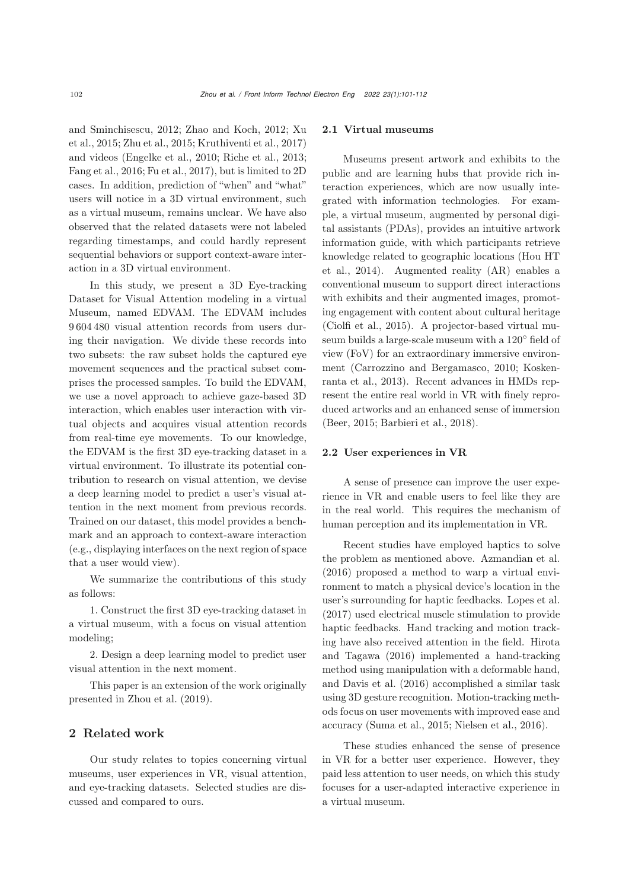and [Sminchisescu,](#page-11-1) [2012](#page-10-7)[;](#page-11-1) [Zhao and Koch](#page-11-0)[,](#page-11-1) [2012;](#page-11-0) Xu et al., [2015;](#page-11-1) [Zhu et al.](#page-11-2), [2015](#page-11-2); [Kruthiventi et al.](#page-10-8), [2017\)](#page-10-8) and videos [\(Engelke et al., 2010](#page-9-5); [Riche et al.](#page-10-9), [2013;](#page-10-9) [Fang et al., 2016;](#page-9-6) [Fu et al.](#page-9-7), [2017](#page-9-7)), but is limited to 2D cases. In addition, prediction of "when" and "what" users will notice in a 3D virtual environment, such as a virtual museum, remains unclear. We have also observed that the related datasets were not labeled regarding timestamps, and could hardly represent sequential behaviors or support context-aware interaction in a 3D virtual environment.

In this study, we present a 3D Eye-tracking Dataset for Visual Attention modeling in a virtual Museum, named EDVAM. The EDVAM includes 9 604 480 visual attention records from users during their navigation. We divide these records into two subsets: the raw subset holds the captured eve movement sequences and the practical subset comprises the processed samples. To build the EDVAM, we use a novel approach to achieve gaze-based 3D interaction, which enables user interaction with virtual objects and acquires visual attention records from real-time eye movements. To our knowledge, the EDVAM is the first 3D eye-tracking dataset in a virtual environment. To illustrate its potential contribution to research on visual attention, we devise a deep learning model to predict a user's visual attention in the next moment from previous records. Trained on our dataset, this model provides a benchmark and an approach to context-aware interaction (e.g., displaying interfaces on the next region of space that a user would view).

We summarize the contributions of this study as follows:

1. Construct the first 3D eye-tracking dataset in a virtual museum, with a focus on visual attention modeling;

2. Design a deep learning model to predict user visual attention in the next moment.

This paper is an extension of the work originally presented in [Zhou et al.](#page-11-3) [\(2019\)](#page-11-3).

## 2 Related work

Our study relates to topics concerning virtual museums, user experiences in VR, visual attention, and eye-tracking datasets. Selected studies are discussed and compared to ours.

#### 2.1 Virtual museums

Museums present artwork and exhibits to the public and are learning hubs that provide rich interaction experiences, which are now usually integrated with information technologies. For example, a virtual museum, augmented by personal digital assistants (PDAs), provides an intuitive artwork information guide, with which participants retrieve know[ledge](#page-9-8) [related](#page-9-8) [to](#page-9-8) [geographic](#page-9-8) [locations](#page-9-8) [\(](#page-9-8)Hou HT et al., [2014\)](#page-9-8). Augmented reality (AR) enables a conventional museum to support direct interactions with exhibits and their augmented images, promoting engagement with content about cultural heritage [\(Ciolfi et al., 2015](#page-9-9)). A projector-based virtual museum builds a large-scale museum with a 120◦ field of view (FoV) for an extraordinary immersive environment [\(Carrozzino and Bergamasco](#page-9-10)[,](#page-10-10) [2010](#page-9-10)[;](#page-10-10) Koskenranta et al., [2013\)](#page-10-10). Recent advances in HMDs represent the entire real world in VR with finely reproduced artworks and an enhanced sense of immersion [\(Beer, 2015;](#page-9-11) [Barbieri et al.](#page-9-12), [2018](#page-9-12)).

#### 2.2 User experiences in VR

A sense of presence can improve the user experience in VR and enable users to feel like they are in the real world. This requires the mechanism of human perception and its implementation in VR.

Recent studies have employed haptics to solve the problem as mentioned above. [Azmandian et al.](#page-9-0) [\(2016](#page-9-0)) proposed a method to warp a virtual environment to match a physical device's location in the user's surrounding for haptic feedbacks. [Lopes et al.](#page-10-0) [\(2017](#page-10-0)) used electrical muscle stimulation to provide haptic feedbacks. Hand tracking and motion tracking have als[o](#page-9-1) [received](#page-9-1) [attention](#page-9-1) [in](#page-9-1) [the](#page-9-1) [field.](#page-9-1) Hirota and Tagawa [\(2016\)](#page-9-1) implemented a hand-tracking method using manipulation with a deformable hand, and [Davis et al.](#page-9-3) [\(2016](#page-9-3)) accomplished a similar task using 3D gesture recognition. Motion-tracking methods focus on user movements with improved ease and accuracy [\(Suma et al.](#page-10-2), [2015;](#page-10-2) [Nielsen et al., 2016\)](#page-10-3).

These studies enhanced the sense of presence in VR for a better user experience. However, they paid less attention to user needs, on which this study focuses for a user-adapted interactive experience in a virtual museum.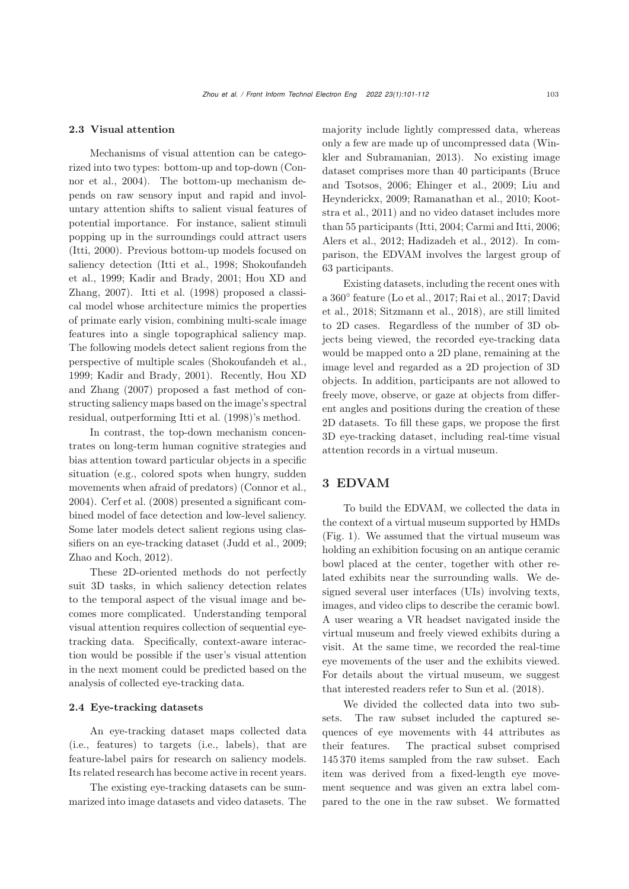#### 2.3 Visual attention

Mechanisms of visual attention can be categorized into [two](#page-9-13) [types:](#page-9-13) [bottom-up](#page-9-13) [and](#page-9-13) [top-down](#page-9-13) [\(](#page-9-13)Connor et al., [2004\)](#page-9-13). The bottom-up mechanism depends on raw sensory input and rapid and involuntary attention shifts to salient visual features of potential importance. For instance, salient stimuli popping up in the surroundings could attract users [\(Itti](#page-10-11), [2000](#page-10-11)). Previous bottom-up models focused on salie[ncy](#page-10-13) [detection](#page-10-13) [\(Itti et al.](#page-10-12)[,](#page-10-13) [1998](#page-10-12)[;](#page-10-13) Shokoufandeh et al., [1999](#page-10-13)[;](#page-10-15) [Kadir and Brady](#page-10-14)[,](#page-10-15) [2001](#page-10-14)[;](#page-10-15) Hou XD and Zhang, [2007\)](#page-10-15). [Itti et al.](#page-10-12) [\(1998\)](#page-10-12) proposed a classical model whose architecture mimics the properties of primate early vision, combining multi-scale image features into a single topographical saliency map. The following models detect salient regions from the perspective of multiple scales [\(Shokoufandeh et al.](#page-10-13), [1999](#page-10-13); [Kadir and Brady](#page-10-14)[,](#page-10-15) [2001](#page-10-14)[\).](#page-10-15) [Recently,](#page-10-15) Hou XD and Zhang [\(2007](#page-10-15)) proposed a fast method of constructing saliency maps based on the image's spectral residual, outperforming [Itti et al.](#page-10-12) [\(1998\)](#page-10-12)'s method.

In contrast, the top-down mechanism concentrates on long-term human cognitive strategies and bias attention toward particular objects in a specific situation (e.g., colored spots when hungry, sudden movements when afraid of predators) [\(Connor et al.](#page-9-13), [2004](#page-9-13)). [Cerf et al.](#page-9-4) [\(2008\)](#page-9-4) presented a significant combined model of face detection and low-level saliency. Some later models detect salient regions using classifiers on an eye-tracking dataset [\(Judd et al., 2009;](#page-10-4) [Zhao and Koch](#page-11-0), [2012](#page-11-0)).

These 2D-oriented methods do not perfectly suit 3D tasks, in which saliency detection relates to the temporal aspect of the visual image and becomes more complicated. Understanding temporal visual attention requires collection of sequential eyetracking data. Specifically, context-aware interaction would be possible if the user's visual attention in the next moment could be predicted based on the analysis of collected eye-tracking data.

#### 2.4 Eye-tracking datasets

An eye-tracking dataset maps collected data (i.e., features) to targets (i.e., labels), that are feature-label pairs for research on saliency models. Its related research has become active in recent years.

The existing eye-tracking datasets can be summarized into image datasets and video datasets. The majority include lightly compressed data, whereas only a few are made u[p](#page-11-4) [of](#page-11-4) [uncompressed](#page-11-4) [data](#page-11-4) [\(](#page-11-4)Winkler and Subramanian, [2013\)](#page-11-4). No existing image dataset com[prises](#page-9-14) [more](#page-9-14) [than](#page-9-14) [40](#page-9-14) [participants](#page-9-14) [\(](#page-9-14)Bruce and Tsotsos[,](#page-10-16) [2006](#page-9-14)[;](#page-10-16) [Ehinger et al.](#page-9-15)[,](#page-10-16) [2009](#page-9-15)[;](#page-10-16) Liu and Heynderi[ckx,](#page-10-18) [2009](#page-10-16)[;](#page-10-18) [Ramanathan et al.](#page-10-17)[,](#page-10-18) [2010](#page-10-17)[;](#page-10-18) Kootstra et al., [2011\)](#page-10-18) and no video dataset includes more than 55 participants [\(Itti](#page-10-19), [2004](#page-10-19); [Carmi and Itti](#page-9-16), [2006;](#page-9-16) [Alers et al., 2012](#page-9-17); [Hadizadeh et al., 2012](#page-9-18)). In comparison, the EDVAM involves the largest group of 63 participants.

Existing datasets, including the recent ones with a 360◦ [feature](#page-9-19) [\(Lo et al.](#page-10-20)[,](#page-9-19) [2017](#page-10-20)[;](#page-9-19) [Rai et al.](#page-10-21)[,](#page-9-19) [2017](#page-10-21)[;](#page-9-19) David et al., [2018;](#page-9-19) [Sitzmann et al., 2018](#page-10-22)), are still limited to 2D cases. Regardless of the number of 3D objects being viewed, the recorded eye-tracking data would be mapped onto a 2D plane, remaining at the image level and regarded as a 2D projection of 3D objects. In addition, participants are not allowed to freely move, observe, or gaze at objects from different angles and positions during the creation of these 2D datasets. To fill these gaps, we propose the first 3D eye-tracking dataset, including real-time visual attention records in a virtual museum.

# 3 EDVAM

To build the EDVAM, we collected the data in the context of a virtual museum supported by HMDs (Fig. [1\)](#page-3-0). We assumed that the virtual museum was holding an exhibition focusing on an antique ceramic bowl placed at the center, together with other related exhibits near the surrounding walls. We designed several user interfaces (UIs) involving texts, images, and video clips to describe the ceramic bowl. A user wearing a VR headset navigated inside the virtual museum and freely viewed exhibits during a visit. At the same time, we recorded the real-time eye movements of the user and the exhibits viewed. For details about the virtual museum, we suggest that interested readers refer to [Sun et al.](#page-10-23) [\(2018\)](#page-10-23).

We divided the collected data into two subsets. The raw subset included the captured sequences of eye movements with 44 attributes as<br>their features. The practical subset comprised The practical subset comprised 145 370 items sampled from the raw subset. Each item was derived from a fixed-length eye movement sequence and was given an extra label compared to the one in the raw subset. We formatted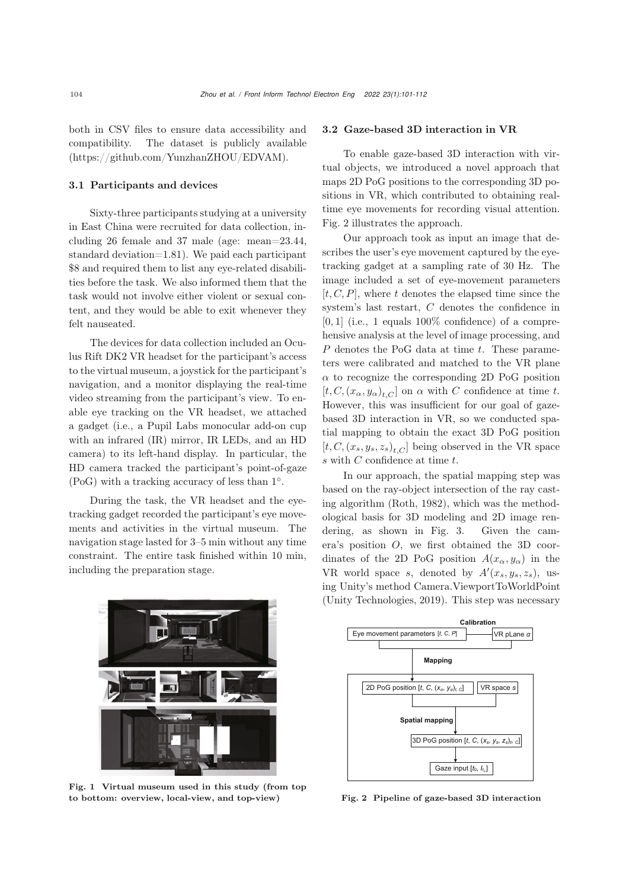both in CSV files to ensure data accessibility and compatibility. The dataset is publicly available (https://github.com/YunzhanZHOU/EDVAM).

#### 3.1 Participants and devices

Sixty-three participants studying at a university in East China were recruited for data collection, including 26 female and 37 male (age: mean=23.44, standard deviation=1.81). We paid each participant \$8 and required them to list any eye-related disabilities before the task. We also informed them that the task would not involve either violent or sexual content, and they would be able to exit whenever they felt nauseated.

The devices for data collection included an Oculus Rift DK2 VR headset for the participant's access to the virtual museum, a joystick for the participant's navigation, and a monitor displaying the real-time video streaming from the participant's view. To enable eye tracking on the VR headset, we attached a gadget (i.e., a Pupil Labs monocular add-on cup with an infrared (IR) mirror, IR LEDs, and an HD camera) to its left-hand display. In particular, the HD camera tracked the participant's point-of-gaze (PoG) with a tracking accuracy of less than 1◦.

During the task, the VR headset and the eyetracking gadget recorded the participant's eye movements and activities in the virtual museum. The navigation stage lasted for 3–5 min without any time constraint. The entire task finished within 10 min, including the preparation stage.

#### 3.2 Gaze-based 3D interaction in VR

To enable gaze-based 3D interaction with virtual objects, we introduced a novel approach that maps 2D PoG positions to the corresponding 3D positions in VR, which contributed to obtaining realtime eye movements for recording visual attention. Fig. [2](#page-3-1) illustrates the approach.

Our approach took as input an image that describes the user's eye movement captured by the eyetracking gadget at a sampling rate of 30 Hz. The image included a set of eye-movement parameters  $[t, C, P]$ , where t denotes the elapsed time since the system's last restart, C denotes the confidence in  $[0, 1]$  (i.e., 1 equals 100\% confidence) of a comprehensive analysis at the level of image processing, and  $P$  denotes the PoG data at time  $t$ . These parameters were calibrated and matched to the VR plane  $\alpha$  to recognize the corresponding 2D PoG position  $[t, C, (x_{\alpha}, y_{\alpha})_{t,C}]$  on  $\alpha$  with C confidence at time t. However, this was insufficient for our goal of gazebased 3D interaction in VR, so we conducted spatial mapping to obtain the exact 3D PoG position  $[t, C, (x_s, y_s, z_s)_{t,C}]$  being observed in the VR space  $s$  with  $C$  confidence at time  $t.$ 

In our approach, the spatial mapping step was based on the ray-object intersection of the ray casting algorithm [\(Roth, 1982](#page-10-24)), which was the methodological basis for 3D modeling and 2D image rendering, as shown in Fig. [3.](#page-4-0) Given the camera's position O, we first obtained the 3D coordinates of the 2D PoG position  $A(x_\alpha, y_\alpha)$  in the VR world space s, denoted by  $A'(x_s, y_s, z_s)$ , us-<br>ing Unity's method Camera ViewportToWorldDoint ing Unity's method Camera.ViewportToWorldPoint [\(Unity Technologies, 2019](#page-10-25)). This step was necessary

<span id="page-3-0"></span>

Fig. 1 Virtual museum used in this study (from top to bottom: overview, local-view, and top-view)



<span id="page-3-1"></span>Fig. 2 Pipeline of gaze-based 3D interaction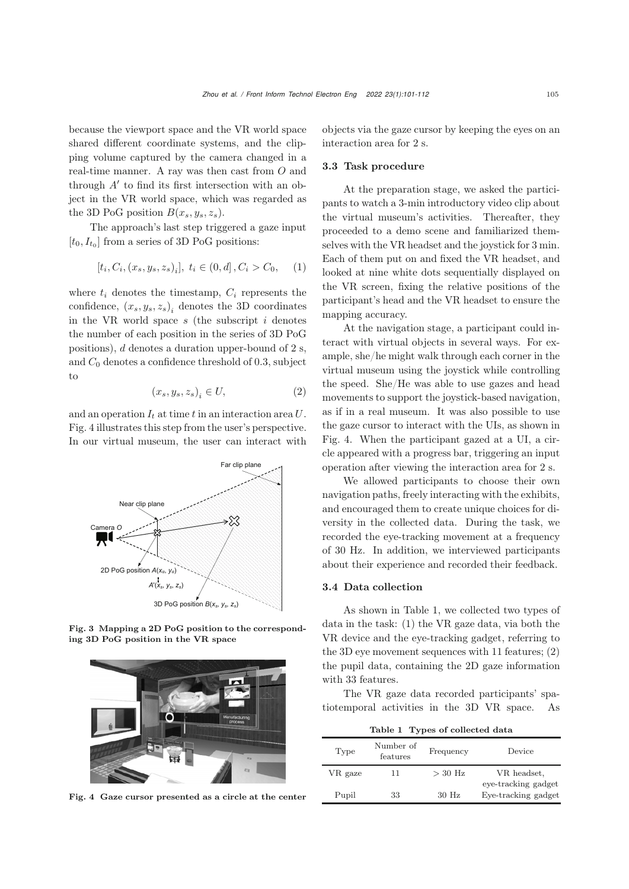because the viewport space and the VR world space shared different coordinate systems, and the clipping volume captured by the camera changed in a real-time manner. A ray was then cast from O and through  $A'$  to find its first intersection with an object in the VR world space, which was regarded as the 3D PoG position  $B(x_s, y_s, z_s)$ .

The approach's last step triggered a gaze input  $[t_0, I_{t_0}]$  from a series of 3D PoG positions:

$$
[t_i, C_i, (x_s, y_s, z_s)_i], \ t_i \in (0, d], C_i > C_0, \quad (1)
$$

where  $t_i$  denotes the timestamp,  $C_i$  represents the confidence,  $(x_s, y_s, z_s)$ <sub>i</sub> denotes the 3D coordinates in the VR world space  $s$  (the subscript  $i$  denotes the number of each position in the series of 3D PoG positions), <sup>d</sup> denotes a duration upper-bound of 2 s, and  $C_0$  denotes a confidence threshold of 0.3, subject to

$$
(x_s, y_s, z_s)_i \in U,\t\t(2)
$$

and an operation  $I_t$  at time t in an interaction area U. Fig. [4](#page-4-1) illustrates this step from the user's perspective. In our virtual museum, the user can interact with



Fig. 3 Mapping a 2D PoG position to the corresponding 3D PoG position in the VR space

<span id="page-4-0"></span>

<span id="page-4-1"></span>Fig. 4 Gaze cursor presented as a circle at the center

objects via the gaze cursor by keeping the eyes on an interaction area for 2 s.

## 3.3 Task procedure

At the preparation stage, we asked the participants to watch a 3-min introductory video clip about the virtual museum's activities. Thereafter, they proceeded to a demo scene and familiarized themselves with the VR headset and the joystick for 3 min. Each of them put on and fixed the VR headset, and looked at nine white dots sequentially displayed on the VR screen, fixing the relative positions of the participant's head and the VR headset to ensure the mapping accuracy.

At the navigation stage, a participant could interact with virtual objects in several ways. For example, she/he might walk through each corner in the virtual museum using the joystick while controlling the speed. She/He was able to use gazes and head movements to support the joystick-based navigation, as if in a real museum. It was also possible to use the gaze cursor to interact with the UIs, as shown in Fig. [4.](#page-4-1) When the participant gazed at a UI, a circle appeared with a progress bar, triggering an input operation after viewing the interaction area for 2 s.

We allowed participants to choose their own navigation paths, freely interacting with the exhibits, and encouraged them to create unique choices for diversity in the collected data. During the task, we recorded the eye-tracking movement at a frequency of 30 Hz. In addition, we interviewed participants about their experience and recorded their feedback.

#### 3.4 Data collection

As shown in Table [1,](#page-4-2) we collected two types of data in the task: (1) the VR gaze data, via both the VR device and the eye-tracking gadget, referring to the 3D eye movement sequences with 11 features; (2) the pupil data, containing the 2D gaze information with 33 features.

The VR gaze data recorded participants' spatiotemporal activities in the 3D VR space. As

<span id="page-4-2"></span>Table 1 Types of collected data

| Type    | Number of<br>features | Frequency | Device                                     |
|---------|-----------------------|-----------|--------------------------------------------|
| VR gaze | 11                    | $>$ 30 Hz | VR headset,                                |
| Pupil   | 33                    | $30$ Hz   | eye-tracking gadget<br>Eye-tracking gadget |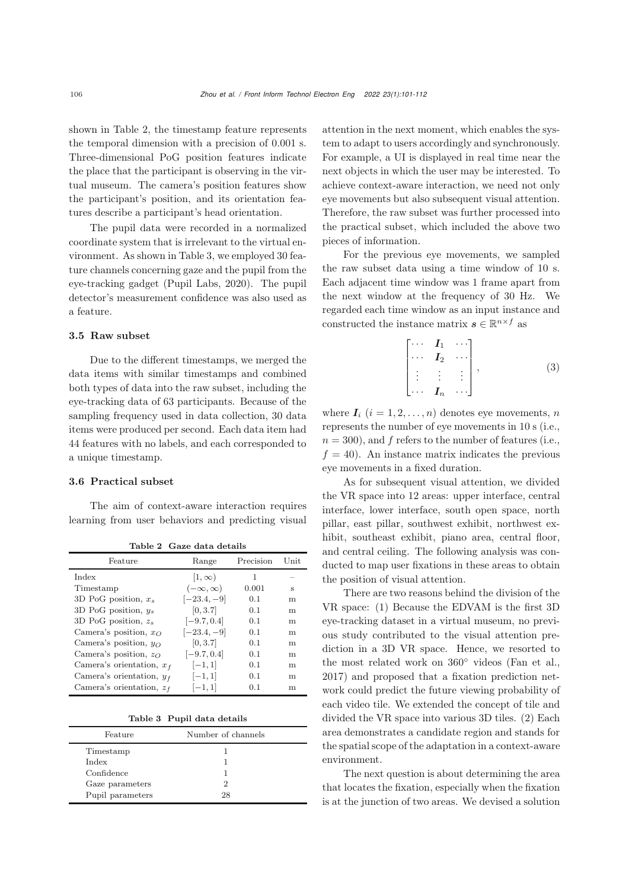shown in Table [2,](#page-5-0) the timestamp feature represents the temporal dimension with a precision of 0.001 s. Three-dimensional PoG position features indicate the place that the participant is observing in the virtual museum. The camera's position features show the participant's position, and its orientation features describe a participant's head orientation.

The pupil data were recorded in a normalized coordinate system that is irrelevant to the virtual environment. As shown in Table [3,](#page-5-1) we employed 30 feature channels concerning gaze and the pupil from the eye-tracking gadget [\(Pupil Labs, 2020](#page-10-26)). The pupil detector's measurement confidence was also used as a feature.

## 3.5 Raw subset

Due to the different timestamps, we merged the data items with similar timestamps and combined both types of data into the raw subset, including the eye-tracking data of 63 participants. Because of the sampling frequency used in data collection, 30 data items were produced per second. Each data item had 44 features with no labels, and each corresponded to a unique timestamp.

#### 3.6 Practical subset

The aim of context-aware interaction requires learning from user behaviors and predicting visual

<span id="page-5-0"></span>Table 2 Gaze data details

| Feature                         | Range              | Precision | Unit |  |  |
|---------------------------------|--------------------|-----------|------|--|--|
| Index                           | $ 1,\infty)$       | 1         |      |  |  |
| Timestamp                       | $(-\infty,\infty)$ | 0.001     | s    |  |  |
| 3D PoG position, $x_s$          | $[-23.4, -9]$      | 0.1       | m    |  |  |
| 3D PoG position, $y_s$          | [0, 3.7]           | 0.1       | m    |  |  |
| 3D PoG position, $z_s$          | $[-9.7, 0.4]$      | 0.1       | m    |  |  |
| Camera's position, $x_{\Omega}$ | $[-23.4, -9]$      | 0.1       | m    |  |  |
| Camera's position, $y_O$        | [0, 3.7]           | 0.1       | m    |  |  |
| Camera's position, $z_O$        | $[-9.7, 0.4]$      | 0.1       | m    |  |  |
| Camera's orientation, $x_f$     | $[-1, 1]$          | 0.1       | m    |  |  |
| Camera's orientation, $y_f$     | $[-1, 1]$          | 0.1       | m    |  |  |
| Camera's orientation, $z_f$     | $[-1, 1]$          | 0.1       | m    |  |  |
|                                 |                    |           |      |  |  |

<span id="page-5-1"></span>Table 3 Pupil data details

| Feature          | Number of channels |  |
|------------------|--------------------|--|
| Timestamp        |                    |  |
| Index            |                    |  |
| Confidence       |                    |  |
| Gaze parameters  |                    |  |
| Pupil parameters | 28                 |  |

attention in the next moment, which enables the system to adapt to users accordingly and synchronously. For example, a UI is displayed in real time near the next objects in which the user may be interested. To achieve context-aware interaction, we need not only eye movements but also subsequent visual attention. Therefore, the raw subset was further processed into the practical subset, which included the above two pieces of information.

For the previous eye movements, we sampled the raw subset data using a time window of 10 s. Each adjacent time window was 1 frame apart from the next window at the frequency of 30 Hz. We regarded each time window as an input instance and constructed the instance matrix  $s \in \mathbb{R}^{n \times f}$  as

$$
\begin{bmatrix}\n\cdots & I_1 & \cdots \\
\cdots & I_2 & \cdots \\
\vdots & \vdots & \vdots \\
\cdots & I_n & \cdots\n\end{bmatrix},
$$
\n(3)

where  $I_i$   $(i = 1, 2, ..., n)$  denotes eye movements, n represents the number of eye movements in 10 s (i.e.,  $n = 300$ , and f refers to the number of features (i.e.,  $f = 40$ ). An instance matrix indicates the previous eye movements in a fixed duration.

As for subsequent visual attention, we divided the VR space into 12 areas: upper interface, central interface, lower interface, south open space, north pillar, east pillar, southwest exhibit, northwest exhibit, southeast exhibit, piano area, central floor, and central ceiling. The following analysis was conducted to map user fixations in these areas to obtain the position of visual attention.

There are two reasons behind the division of the VR space: (1) Because the EDVAM is the first 3D eye-tracking dataset in a virtual museum, no previous study contributed to the visual attention prediction in a 3D VR space. Hence, we resorted to the most related work on 360◦ videos [\(Fan et al.](#page-9-20), [2017](#page-9-20)) and proposed that a fixation prediction network could predict the future viewing probability of each video tile. We extended the concept of tile and divided the VR space into various 3D tiles. (2) Each area demonstrates a candidate region and stands for the spatial scope of the adaptation in a context-aware environment.

The next question is about determining the area that locates the fixation, especially when the fixation is at the junction of two areas. We devised a solution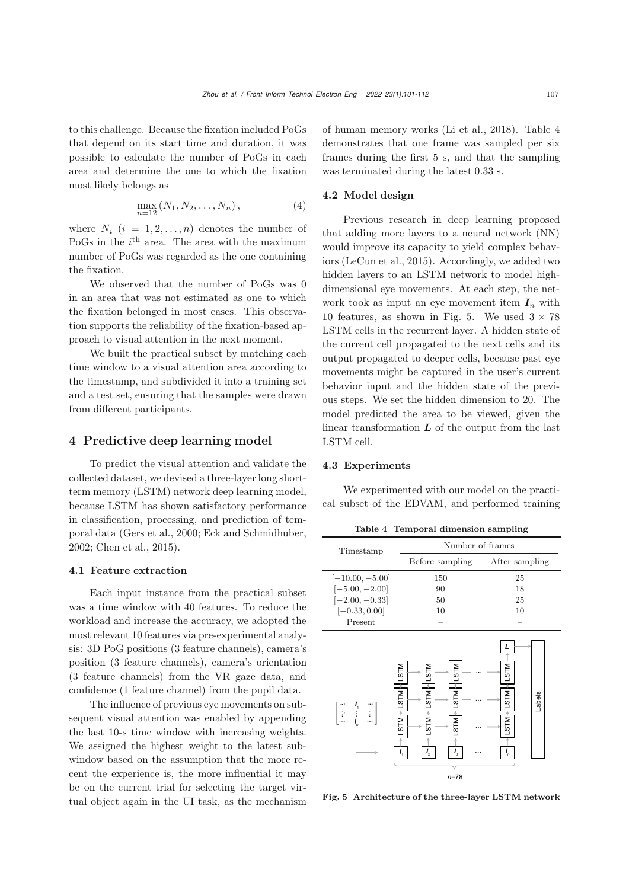to this challenge. Because the fixation included PoGs that depend on its start time and duration, it was possible to calculate the number of PoGs in each area and determine the one to which the fixation most likely belongs as

$$
\max_{n=12} (N_1, N_2, \dots, N_n), \tag{4}
$$

where  $N_i$   $(i = 1, 2, ..., n)$  denotes the number of PoGs in the  $i^{\text{th}}$  area. The area with the maximum number of PoGs was regarded as the one containing the fixation.

We observed that the number of PoGs was 0 in an area that was not estimated as one to which the fixation belonged in most cases. This observation supports the reliability of the fixation-based approach to visual attention in the next moment.

We built the practical subset by matching each time window to a visual attention area according to the timestamp, and subdivided it into a training set and a test set, ensuring that the samples were drawn from different participants.

## 4 Predictive deep learning model

To predict the visual attention and validate the collected dataset, we devised a three-layer long shortterm memory (LSTM) network deep learning model, because LSTM has shown satisfactory performance in classification, processing, and prediction of temporal data [\(Gers et al.](#page-9-21), [2000](#page-9-21); [Eck and Schmidhuber](#page-9-22), [2002](#page-9-22); [Chen et al.](#page-9-23), [2015](#page-9-23)).

#### 4.1 Feature extraction

Each input instance from the practical subset was a time window with 40 features. To reduce the workload and increase the accuracy, we adopted the most relevant 10 features via pre-experimental analysis: 3D PoG positions (3 feature channels), camera's position (3 feature channels), camera's orientation (3 feature channels) from the VR gaze data, and confidence (1 feature channel) from the pupil data.

The influence of previous eye movements on subsequent visual attention was enabled by appending the last 10-s time window with increasing weights. We assigned the highest weight to the latest subwindow based on the assumption that the more recent the experience is, the more influential it may be on the current trial for selecting the target virtual object again in the UI task, as the mechanism of human memory works [\(Li et al., 2018](#page-10-27)). Table [4](#page-6-0) demonstrates that one frame was sampled per six frames during the first 5 s, and that the sampling was terminated during the latest 0.33 s.

## 4.2 Model design

Previous research in deep learning proposed that adding more layers to a neural network (NN) would improve its capacity to yield complex behaviors [\(LeCun et al.](#page-10-28), [2015](#page-10-28)). Accordingly, we added two hidden layers to an LSTM network to model highdimensional eye movements. At each step, the network took as input an eye movement item  $I_n$  with 10 features, as shown in Fig. [5.](#page-6-1) We used  $3 \times 78$ LSTM cells in the recurrent layer. A hidden state of the current cell propagated to the next cells and its output propagated to deeper cells, because past eye movements might be captured in the user's current behavior input and the hidden state of the previous steps. We set the hidden dimension to 20. The model predicted the area to be viewed, given the linear transformation  $L$  of the output from the last LSTM cell.

### <span id="page-6-2"></span>4.3 Experiments

We experimented with our model on the practical subset of the EDVAM, and performed training

<span id="page-6-0"></span>Table 4 Temporal dimension sampling

| Timestamp                                                                                                                                                      | Number of frames                                                                                          |                                                          |  |
|----------------------------------------------------------------------------------------------------------------------------------------------------------------|-----------------------------------------------------------------------------------------------------------|----------------------------------------------------------|--|
|                                                                                                                                                                | Before sampling                                                                                           | After sampling                                           |  |
| $[-10.00, -5.00]$                                                                                                                                              | 150                                                                                                       | 25                                                       |  |
| $[-5.00, -2.00]$                                                                                                                                               | 90                                                                                                        | 18                                                       |  |
| $[-2.00, -0.33]$                                                                                                                                               | 50                                                                                                        | 25                                                       |  |
| $[-0.33, 0.00]$                                                                                                                                                | 10                                                                                                        | 10                                                       |  |
| Present                                                                                                                                                        |                                                                                                           |                                                          |  |
| <b>NLS</b><br><b>NLS1</b><br>$\begin{bmatrix} \cdots & I_{i} & \cdots \\ \vdots & \vdots & \vdots \\ \cdots & I_{n} & \cdots \end{bmatrix}$<br>LSTM<br>$I_{1}$ | <b>NLST</b><br>M18<br><b>NLS1</b><br><b>NLST</b><br>LSTM<br><b>NLS1</b><br>$I_{3}$<br>$I_{2}$<br>$n = 78$ | <b>NLS</b><br><b>NLS1</b><br>Labels<br><b>NLS1</b><br>Ι, |  |

<span id="page-6-1"></span>Fig. 5 Architecture of the three-layer LSTM network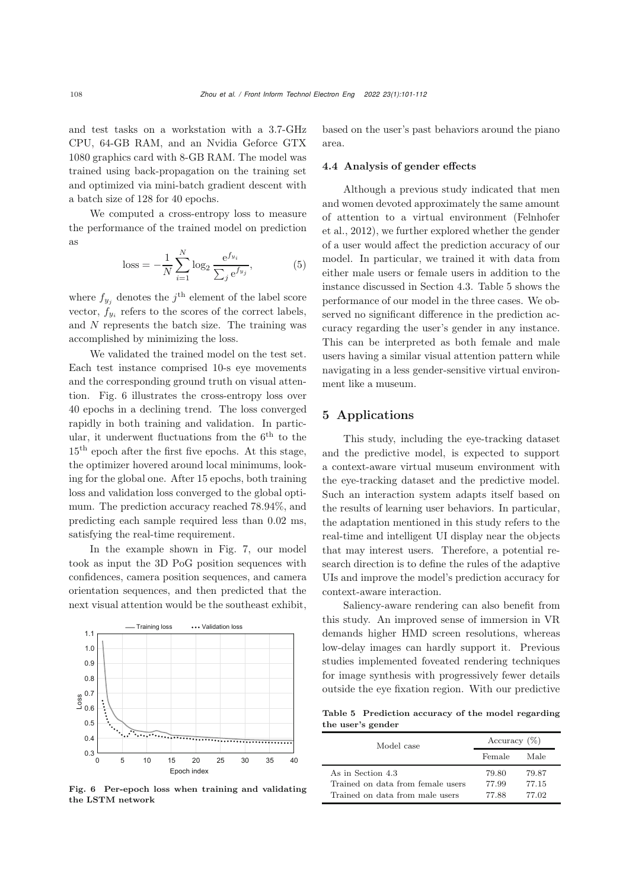and test tasks on a workstation with a 3.7-GHz CPU, 64-GB RAM, and an Nvidia Geforce GTX 1080 graphics card with 8-GB RAM. The model was trained using back-propagation on the training set and optimized via mini-batch gradient descent with a batch size of 128 for 40 epochs.

We computed a cross-entropy loss to measure the performance of the trained model on prediction as

loss = 
$$
-\frac{1}{N} \sum_{i=1}^{N} \log_2 \frac{e^{f_{y_i}}}{\sum_j e^{f_{y_j}}},
$$
 (5)

where  $f_{y_i}$  denotes the j<sup>th</sup> element of the label score vector,  $f_{y_i}$  refers to the scores of the correct labels, and N represents the batch size. The training was accomplished by minimizing the loss.

We validated the trained model on the test set. Each test instance comprised 10-s eye movements and the corresponding ground truth on visual attention. Fig. [6](#page-7-0) illustrates the cross-entropy loss over 40 epochs in a declining trend. The loss converged rapidly in both training and validation. In particular, it underwent fluctuations from the  $6<sup>th</sup>$  to the 15th epoch after the first five epochs. At this stage, the optimizer hovered around local minimums, looking for the global one. After 15 epochs, both training loss and validation loss converged to the global optimum. The prediction accuracy reached 78.94%, and predicting each sample required less than 0.02 ms, satisfying the real-time requirement.

In the example shown in Fig. [7,](#page-8-0) our model took as input the 3D PoG position sequences with confidences, camera position sequences, and camera orientation sequences, and then predicted that the next visual attention would be the southeast exhibit,

 $0.3\frac{1}{0}$ 0.4 0.5 0.6 0.7 Loss 0.8 0.9 1.0 1.1 0 5 10 15 20 25 30 35 40 Training loss **...** Validation loss Epoch index

<span id="page-7-0"></span>Fig. 6 Per-epoch loss when training and validating the LSTM network

based on the user's past behaviors around the piano area.

## 4.4 Analysis of gender effects

Although a previous study indicated that men and women devoted approximately the same amount of a[ttention](#page-9-24) [to](#page-9-24) [a](#page-9-24) [virtual](#page-9-24) [environment](#page-9-24) [\(](#page-9-24)Felnhofer et al., [2012](#page-9-24)), we further explored whether the gender of a user would affect the prediction accuracy of our model. In particular, we trained it with data from either male users or female users in addition to the instance discussed in Section [4.3.](#page-6-2) Table [5](#page-7-1) shows the performance of our model in the three cases. We observed no significant difference in the prediction accuracy regarding the user's gender in any instance. This can be interpreted as both female and male users having a similar visual attention pattern while navigating in a less gender-sensitive virtual environment like a museum.

## 5 Applications

This study, including the eye-tracking dataset and the predictive model, is expected to support a context-aware virtual museum environment with the eye-tracking dataset and the predictive model. Such an interaction system adapts itself based on the results of learning user behaviors. In particular, the adaptation mentioned in this study refers to the real-time and intelligent UI display near the objects that may interest users. Therefore, a potential research direction is to define the rules of the adaptive UIs and improve the model's prediction accuracy for context-aware interaction.

Saliency-aware rendering can also benefit from this study. An improved sense of immersion in VR demands higher HMD screen resolutions, whereas low-delay images can hardly support it. Previous studies implemented foveated rendering techniques for image synthesis with progressively fewer details outside the eye fixation region. With our predictive

Table 5 Prediction accuracy of the model regarding the user's gender

<span id="page-7-1"></span>

| Model case                        | Accuracy $(\%)$ |       |
|-----------------------------------|-----------------|-------|
|                                   | Female          | Male  |
| As in Section 4.3                 | 79.80           | 79.87 |
| Trained on data from female users | 77.99           | 77.15 |
| Trained on data from male users   | 77.88           | 77.02 |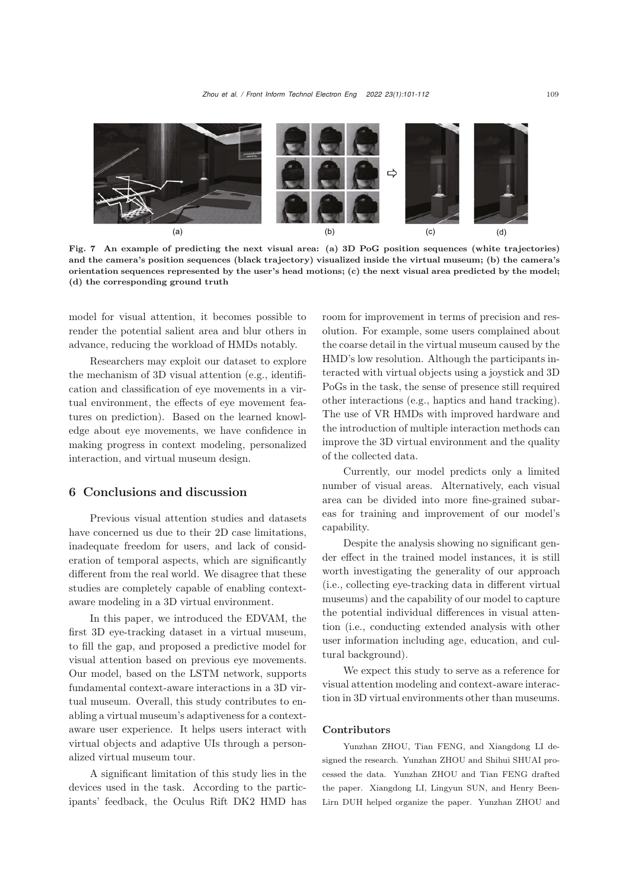

<span id="page-8-0"></span>Fig. 7 An example of predicting the next visual area: (a) 3D PoG position sequences (white trajectories) and the camera's position sequences (black trajectory) visualized inside the virtual museum; (b) the camera's orientation sequences represented by the user's head motions; (c) the next visual area predicted by the model; (d) the corresponding ground truth

model for visual attention, it becomes possible to render the potential salient area and blur others in advance, reducing the workload of HMDs notably.

Researchers may exploit our dataset to explore the mechanism of 3D visual attention (e.g., identification and classification of eye movements in a virtual environment, the effects of eye movement features on prediction). Based on the learned knowledge about eye movements, we have confidence in making progress in context modeling, personalized interaction, and virtual museum design.

# 6 Conclusions and discussion

Previous visual attention studies and datasets have concerned us due to their 2D case limitations, inadequate freedom for users, and lack of consideration of temporal aspects, which are significantly different from the real world. We disagree that these studies are completely capable of enabling contextaware modeling in a 3D virtual environment.

In this paper, we introduced the EDVAM, the first 3D eye-tracking dataset in a virtual museum, to fill the gap, and proposed a predictive model for visual attention based on previous eye movements. Our model, based on the LSTM network, supports fundamental context-aware interactions in a 3D virtual museum. Overall, this study contributes to enabling a virtual museum's adaptiveness for a contextaware user experience. It helps users interact with virtual objects and adaptive UIs through a personalized virtual museum tour.

A significant limitation of this study lies in the devices used in the task. According to the participants' feedback, the Oculus Rift DK2 HMD has

room for improvement in terms of precision and resolution. For example, some users complained about the coarse detail in the virtual museum caused by the HMD's low resolution. Although the participants interacted with virtual objects using a joystick and 3D PoGs in the task, the sense of presence still required other interactions (e.g., haptics and hand tracking). The use of VR HMDs with improved hardware and the introduction of multiple interaction methods can improve the 3D virtual environment and the quality of the collected data.

Currently, our model predicts only a limited number of visual areas. Alternatively, each visual area can be divided into more fine-grained subareas for training and improvement of our model's capability.

Despite the analysis showing no significant gender effect in the trained model instances, it is still worth investigating the generality of our approach (i.e., collecting eye-tracking data in different virtual museums) and the capability of our model to capture the potential individual differences in visual attention (i.e., conducting extended analysis with other user information including age, education, and cultural background).

We expect this study to serve as a reference for visual attention modeling and context-aware interaction in 3D virtual environments other than museums.

#### Contributors

Yunzhan ZHOU, Tian FENG, and Xiangdong LI designed the research. Yunzhan ZHOU and Shihui SHUAI processed the data. Yunzhan ZHOU and Tian FENG drafted the paper. Xiangdong LI, Lingyun SUN, and Henry Been-Lirn DUH helped organize the paper. Yunzhan ZHOU and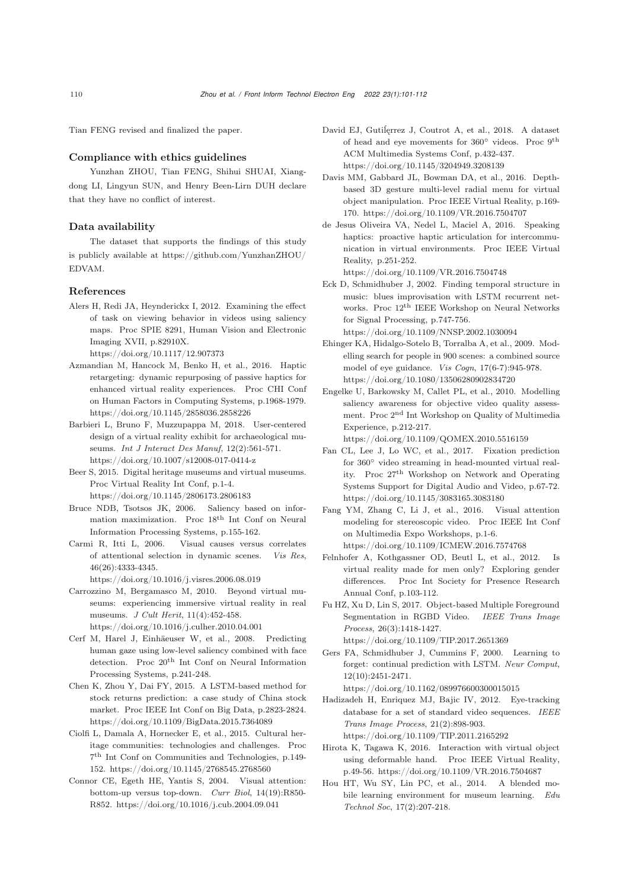Tian FENG revised and finalized the paper.

#### Compliance with ethics guidelines

Yunzhan ZHOU, Tian FENG, Shihui SHUAI, Xiangdong LI, Lingyun SUN, and Henry Been-Lirn DUH declare that they have no conflict of interest.

#### Data availability

The dataset that supports the findings of this study is publicly available at [https://github.com/YunzhanZHOU/](https://github.com/YunzhanZHOU/EDVAM) EDVAM.

#### References

<span id="page-9-17"></span>Alers H, Redi JA, Heynderickx I, 2012. Examining the effect of task on viewing behavior in videos using saliency maps. Proc SPIE 8291, Human Vision and Electronic Imaging XVII, p.82910X.

https://doi.org/10.1117/12.907373

- <span id="page-9-0"></span>Azmandian M, Hancock M, Benko H, et al., 2016. Haptic retargeting: dynamic repurposing of passive haptics for enhanced virtual reality experiences. Proc CHI Conf on Human Factors in Computing Systems, p.1968-1979. https://doi.org/10.1145/2858036.2858226
- <span id="page-9-12"></span>Barbieri L, Bruno F, Muzzupappa M, 2018. User-centered design of a virtual reality exhibit for archaeological museums. *Int J Interact Des Manuf*, 12(2):561-571. https://doi.org/10.1007/s12008-017-0414-z
- <span id="page-9-11"></span>Beer S, 2015. Digital heritage museums and virtual museums. Proc Virtual Reality Int Conf, p.1-4. https://doi.org/10.1145/2806173.2806183
- <span id="page-9-14"></span>Bruce NDB, Tsotsos JK, 2006. Saliency based on information maximization. Proc 18th Int Conf on Neural Information Processing Systems, p.155-162.
- <span id="page-9-16"></span>Carmi R, Itti L, 2006. Visual causes versus correlates of attentional selection in dynamic scenes. *Vis Res*, 46(26):4333-4345.
	- https://doi.org/10.1016/j.visres.2006.08.019
- <span id="page-9-10"></span>Carrozzino M, Bergamasco M, 2010. Beyond virtual museums: experiencing immersive virtual reality in real museums. *J Cult Herit*, 11(4):452-458. https://doi.org/10.1016/j.culher.2010.04.001
- <span id="page-9-4"></span>Cerf M, Harel J, Einhäeuser W, et al., 2008. Predicting human gaze using low-level saliency combined with face detection. Proc  $20<sup>th</sup>$  Int Conf on Neural Information Processing Systems, p.241-248.
- <span id="page-9-23"></span>Chen K, Zhou Y, Dai FY, 2015. A LSTM-based method for stock returns prediction: a case study of China stock market. Proc IEEE Int Conf on Big Data, p.2823-2824. https://doi.org/10.1109/BigData.2015.7364089
- <span id="page-9-9"></span>Ciolfi L, Damala A, Hornecker E, et al., 2015. Cultural heritage communities: technologies and challenges. Proc 7th Int Conf on Communities and Technologies, p.149- 152. https://doi.org/10.1145/2768545.2768560
- <span id="page-9-13"></span>Connor CE, Egeth HE, Yantis S, 2004. Visual attention: bottom-up versus top-down. *Curr Biol*, 14(19):R850- R852. https://doi.org/10.1016/j.cub.2004.09.041
- <span id="page-9-19"></span>David EJ, Gutiĺęrrez J, Coutrot A, et al., 2018. A dataset of head and eye movements for 360◦ videos. Proc 9th ACM Multimedia Systems Conf, p.432-437. https://doi.org/10.1145/3204949.3208139
- <span id="page-9-3"></span>Davis MM, Gabbard JL, Bowman DA, et al., 2016. Depthbased 3D gesture multi-level radial menu for virtual object manipulation. Proc IEEE Virtual Reality, p.169- 170. https://doi.org/10.1109/VR.2016.7504707
- <span id="page-9-2"></span>de Jesus Oliveira VA, Nedel L, Maciel A, 2016. Speaking haptics: proactive haptic articulation for intercommunication in virtual environments. Proc IEEE Virtual Reality, p.251-252.

https://doi.org/10.1109/VR.2016.7504748

- <span id="page-9-22"></span>Eck D, Schmidhuber J, 2002. Finding temporal structure in music: blues improvisation with LSTM recurrent networks. Proc 12th IEEE Workshop on Neural Networks for Signal Processing, p.747-756. https://doi.org/10.1109/NNSP.2002.1030094
- <span id="page-9-15"></span>Ehinger KA, Hidalgo-Sotelo B, Torralba A, et al., 2009. Modelling search for people in 900 scenes: a combined source model of eye guidance. *Vis Cogn*, 17(6-7):945-978. https://doi.org/10.1080/13506280902834720
- <span id="page-9-5"></span>Engelke U, Barkowsky M, Callet PL, et al., 2010. Modelling saliency awareness for objective video quality assessment. Proc 2nd Int Workshop on Quality of Multimedia Experience, p.212-217.

https://doi.org/10.1109/QOMEX.2010.5516159

- <span id="page-9-20"></span>Fan CL, Lee J, Lo WC, et al., 2017. Fixation prediction for 360◦ video streaming in head-mounted virtual reality. Proc 27th Workshop on Network and Operating Systems Support for Digital Audio and Video, p.67-72. https://doi.org/10.1145/3083165.3083180
- <span id="page-9-6"></span>Fang YM, Zhang C, Li J, et al., 2016. Visual attention modeling for stereoscopic video. Proc IEEE Int Conf on Multimedia Expo Workshops, p.1-6. https://doi.org/10.1109/ICMEW.2016.7574768
- <span id="page-9-24"></span>Felnhofer A, Kothgassner OD, Beutl L, et al., 2012. Is virtual reality made for men only? Exploring gender differences. Proc Int Society for Presence Research Annual Conf, p.103-112.
- <span id="page-9-7"></span>Fu HZ, Xu D, Lin S, 2017. Object-based Multiple Foreground Segmentation in RGBD Video. *IEEE Trans Image Process*, 26(3):1418-1427. https://doi.org/10.1109/TIP.2017.2651369
- <span id="page-9-21"></span>Gers FA, Schmidhuber J, Cummins F, 2000. Learning to forget: continual prediction with LSTM. *Neur Comput*, 12(10):2451-2471.

https://doi.org/10.1162/089976600300015015

- <span id="page-9-18"></span>Hadizadeh H, Enriquez MJ, Bajic IV, 2012. Eye-tracking database for a set of standard video sequences. *IEEE Trans Image Process*, 21(2):898-903. https://doi.org/10.1109/TIP.2011.2165292
- <span id="page-9-1"></span>Hirota K, Tagawa K, 2016. Interaction with virtual object using deformable hand. Proc IEEE Virtual Reality, p.49-56. https://doi.org/10.1109/VR.2016.7504687
- <span id="page-9-8"></span>Hou HT, Wu SY, Lin PC, et al., 2014. A blended mobile learning environment for museum learning. *Edu Technol Soc*, 17(2):207-218.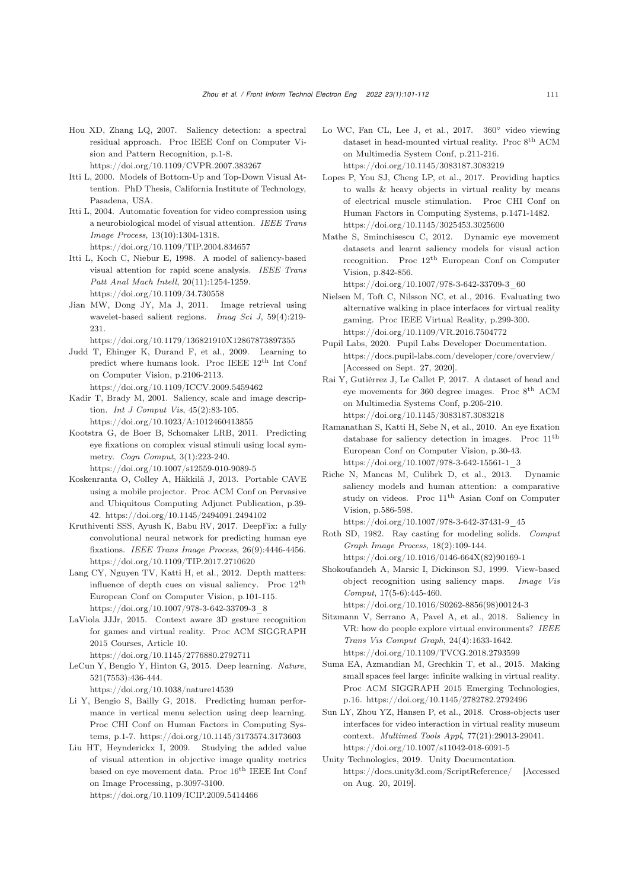<span id="page-10-15"></span>Hou XD, Zhang LQ, 2007. Saliency detection: a spectral residual approach. Proc IEEE Conf on Computer Vision and Pattern Recognition, p.1-8.

https://doi.org/10.1109/CVPR.2007.383267

- <span id="page-10-11"></span>Itti L, 2000. Models of Bottom-Up and Top-Down Visual Attention. PhD Thesis, California Institute of Technology, Pasadena, USA.
- <span id="page-10-19"></span>Itti L, 2004. Automatic foveation for video compression using a neurobiological model of visual attention. *IEEE Trans Image Process*, 13(10):1304-1318. https://doi.org/10.1109/TIP.2004.834657
- <span id="page-10-12"></span>Itti L, Koch C, Niebur E, 1998. A model of saliency-based visual attention for rapid scene analysis. *IEEE Trans Patt Anal Mach Intell*, 20(11):1254-1259. https://doi.org/10.1109/34.730558
- <span id="page-10-5"></span>Jian MW, Dong JY, Ma J, 2011. Image retrieval using wavelet-based salient regions. *Imag Sci J*, 59(4):219- 231.

https://doi.org/10.1179/136821910X12867873897355

- <span id="page-10-4"></span>Judd T, Ehinger K, Durand F, et al., 2009. Learning to predict where humans look. Proc IEEE 12th Int Conf on Computer Vision, p.2106-2113. https://doi.org/10.1109/ICCV.2009.5459462
- <span id="page-10-14"></span>Kadir T, Brady M, 2001. Saliency, scale and image description. *Int J Comput Vis*, 45(2):83-105. https://doi.org/10.1023/A:1012460413855
- <span id="page-10-18"></span>Kootstra G, de Boer B, Schomaker LRB, 2011. Predicting eye fixations on complex visual stimuli using local symmetry. *Cogn Comput*, 3(1):223-240. https://doi.org/10.1007/s12559-010-9089-5
- <span id="page-10-10"></span>Koskenranta O, Colley A, Häkkilä J, 2013. Portable CAVE using a mobile projector. Proc ACM Conf on Pervasive and Ubiquitous Computing Adjunct Publication, p.39- 42. https://doi.org/10.1145/2494091.2494102
- <span id="page-10-8"></span>Kruthiventi SSS, Ayush K, Babu RV, 2017. DeepFix: a fully convolutional neural network for predicting human eye fixations. *IEEE Trans Image Process*, 26(9):4446-4456. https://doi.org/10.1109/TIP.2017.2710620
- <span id="page-10-6"></span>Lang CY, Nguyen TV, Katti H, et al., 2012. Depth matters: influence of depth cues on visual saliency. Proc 12th European Conf on Computer Vision, p.101-115. https://doi.org/10.1007/978-3-642-33709-3\_8
- <span id="page-10-1"></span>LaViola JJJr, 2015. Context aware 3D gesture recognition for games and virtual reality. Proc ACM SIGGRAPH 2015 Courses, Article 10.

https://doi.org/10.1145/2776880.2792711

<span id="page-10-28"></span>LeCun Y, Bengio Y, Hinton G, 2015. Deep learning. *Nature*, 521(7553):436-444.

https://doi.org/10.1038/nature14539

- <span id="page-10-27"></span>Li Y, Bengio S, Bailly G, 2018. Predicting human performance in vertical menu selection using deep learning. Proc CHI Conf on Human Factors in Computing Systems, p.1-7. https://doi.org/10.1145/3173574.3173603
- <span id="page-10-16"></span>Liu HT, Heynderickx I, 2009. Studying the added value of visual attention in objective image quality metrics based on eye movement data. Proc $16^{\rm th}$  IEEE Int Conf on Image Processing, p.3097-3100.

https://doi.org/10.1109/ICIP.2009.5414466

- <span id="page-10-20"></span>Lo WC, Fan CL, Lee J, et al., 2017. 360◦ video viewing dataset in head-mounted virtual reality. Proc $8^{\rm th}$  ACM on Multimedia System Conf, p.211-216. https://doi.org/10.1145/3083187.3083219
- <span id="page-10-0"></span>Lopes P, You SJ, Cheng LP, et al., 2017. Providing haptics to walls & heavy objects in virtual reality by means of electrical muscle stimulation. Proc CHI Conf on Human Factors in Computing Systems, p.1471-1482. https://doi.org/10.1145/3025453.3025600
- <span id="page-10-7"></span>Mathe S, Sminchisescu C, 2012. Dynamic eye movement datasets and learnt saliency models for visual action recognition. Proc 12th European Conf on Computer Vision, p.842-856.

https://doi.org/10.1007/978-3-642-33709-3\_60

- <span id="page-10-3"></span>Nielsen M, Toft C, Nilsson NC, et al., 2016. Evaluating two alternative walking in place interfaces for virtual reality gaming. Proc IEEE Virtual Reality, p.299-300. https://doi.org/10.1109/VR.2016.7504772
- <span id="page-10-26"></span>Pupil Labs, 2020. Pupil Labs Developer Documentation. https://docs.pupil-labs.com/developer/core/overview/ [Accessed on Sept. 27, 2020].
- <span id="page-10-21"></span>Rai Y, Gutiérrez J, Le Callet P, 2017. A dataset of head and eye movements for 360 degree images. Proc 8th ACM on Multimedia Systems Conf, p.205-210. https://doi.org/10.1145/3083187.3083218
- <span id="page-10-17"></span>Ramanathan S, Katti H, Sebe N, et al., 2010. An eye fixation database for saliency detection in images. Proc 11th European Conf on Computer Vision, p.30-43. https://doi.org/10.1007/978-3-642-15561-1\_3
- <span id="page-10-9"></span>Riche N, Mancas M, Culibrk D, et al., 2013. Dynamic saliency models and human attention: a comparative study on videos. Proc  $11<sup>th</sup>$  Asian Conf on Computer Vision, p.586-598.

https://doi.org/10.1007/978-3-642-37431-9\_45

- <span id="page-10-24"></span>Roth SD, 1982. Ray casting for modeling solids. *Comput Graph Image Process*, 18(2):109-144. https://doi.org/10.1016/0146-664X(82)90169-1
- <span id="page-10-13"></span>Shokoufandeh A, Marsic I, Dickinson SJ, 1999. View-based object recognition using saliency maps. *Image Vis Comput*, 17(5-6):445-460. https://doi.org/10.1016/S0262-8856(98)00124-3
- <span id="page-10-22"></span>Sitzmann V, Serrano A, Pavel A, et al., 2018. Saliency in
- VR: how do people explore virtual environments? *IEEE Trans Vis Comput Graph*, 24(4):1633-1642. https://doi.org/10.1109/TVCG.2018.2793599
- <span id="page-10-2"></span>Suma EA, Azmandian M, Grechkin T, et al., 2015. Making small spaces feel large: infinite walking in virtual reality. Proc ACM SIGGRAPH 2015 Emerging Technologies, p.16. https://doi.org/10.1145/2782782.2792496
- <span id="page-10-23"></span>Sun LY, Zhou YZ, Hansen P, et al., 2018. Cross-objects user interfaces for video interaction in virtual reality museum context. *Multimed Tools Appl*, 77(21):29013-29041. https://doi.org/10.1007/s11042-018-6091-5
- <span id="page-10-25"></span>Unity Technologies, 2019. Unity Documentation. https://docs.unity3d.com/ScriptReference/ [Accessed on Aug. 20, 2019].